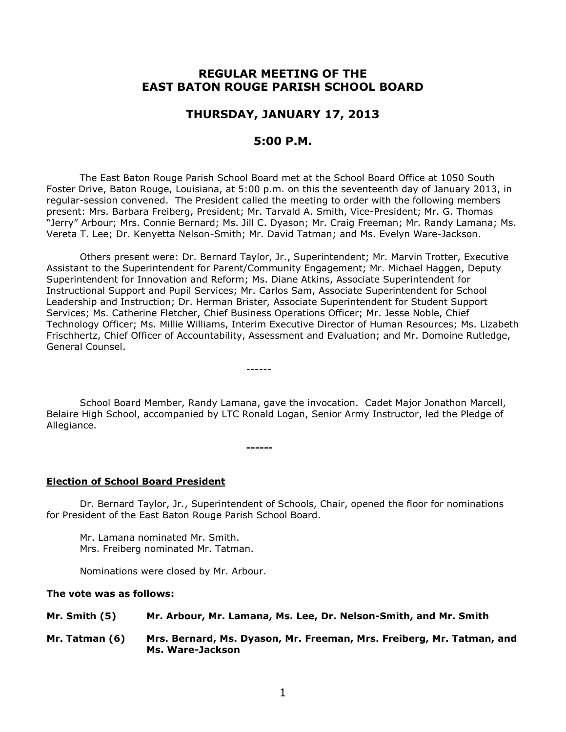# **REGULAR MEETING OF THE EAST BATON ROUGE PARISH SCHOOL BOARD**

# **THURSDAY, JANUARY 17, 2013**

# **5:00 P.M.**

The East Baton Rouge Parish School Board met at the School Board Office at 1050 South Foster Drive, Baton Rouge, Louisiana, at 5:00 p.m. on this the seventeenth day of January 2013, in regular-session convened. The President called the meeting to order with the following members present: Mrs. Barbara Freiberg, President; Mr. Tarvald A. Smith, Vice-President; Mr. G. Thomas "Jerry" Arbour; Mrs. Connie Bernard; Ms. Jill C. Dyason; Mr. Craig Freeman; Mr. Randy Lamana; Ms. Vereta T. Lee; Dr. Kenyetta Nelson-Smith; Mr. David Tatman; and Ms. Evelyn Ware-Jackson.

Others present were: Dr. Bernard Taylor, Jr., Superintendent; Mr. Marvin Trotter, Executive Assistant to the Superintendent for Parent/Community Engagement; Mr. Michael Haggen, Deputy Superintendent for Innovation and Reform; Ms. Diane Atkins, Associate Superintendent for Instructional Support and Pupil Services; Mr. Carlos Sam, Associate Superintendent for School Leadership and Instruction; Dr. Herman Brister, Associate Superintendent for Student Support Services; Ms. Catherine Fletcher, Chief Business Operations Officer; Mr. Jesse Noble, Chief Technology Officer; Ms. Millie Williams, Interim Executive Director of Human Resources; Ms. Lizabeth Frischhertz, Chief Officer of Accountability, Assessment and Evaluation; and Mr. Domoine Rutledge, General Counsel.

School Board Member, Randy Lamana, gave the invocation. Cadet Major Jonathon Marcell, Belaire High School, accompanied by LTC Ronald Logan, Senior Army Instructor, led the Pledge of Allegiance.

------

**------**

### **Election of School Board President**

Dr. Bernard Taylor, Jr., Superintendent of Schools, Chair, opened the floor for nominations for President of the East Baton Rouge Parish School Board.

Mr. Lamana nominated Mr. Smith. Mrs. Freiberg nominated Mr. Tatman.

Nominations were closed by Mr. Arbour.

### **The vote was as follows:**

| Mr. Smith $(5)$ |  | Mr. Arbour, Mr. Lamana, Ms. Lee, Dr. Nelson-Smith, and Mr. Smith |  |
|-----------------|--|------------------------------------------------------------------|--|
|                 |  |                                                                  |  |

**Mr. Tatman (6) Mrs. Bernard, Ms. Dyason, Mr. Freeman, Mrs. Freiberg, Mr. Tatman, and Ms. Ware-Jackson**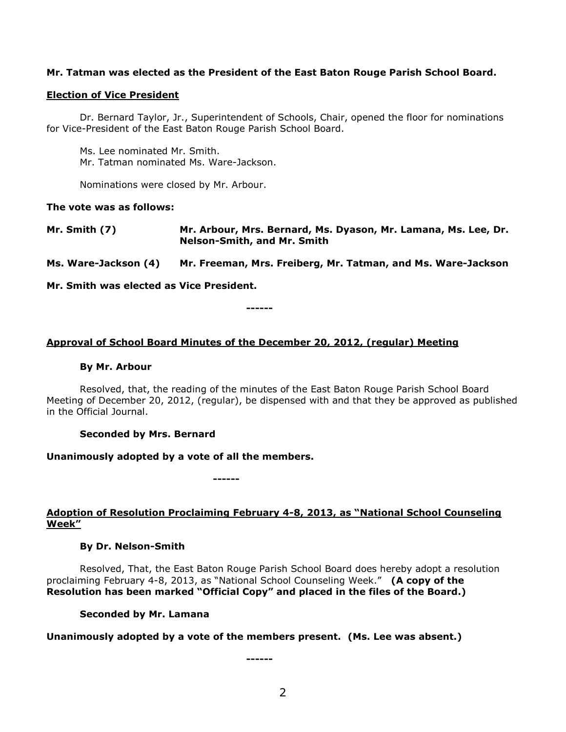## **Mr. Tatman was elected as the President of the East Baton Rouge Parish School Board.**

### **Election of Vice President**

Dr. Bernard Taylor, Jr., Superintendent of Schools, Chair, opened the floor for nominations for Vice-President of the East Baton Rouge Parish School Board.

Ms. Lee nominated Mr. Smith. Mr. Tatman nominated Ms. Ware-Jackson.

Nominations were closed by Mr. Arbour.

### **The vote was as follows:**

**Mr. Smith (7) Mr. Arbour, Mrs. Bernard, Ms. Dyason, Mr. Lamana, Ms. Lee, Dr. Nelson-Smith, and Mr. Smith**

**Ms. Ware-Jackson (4) Mr. Freeman, Mrs. Freiberg, Mr. Tatman, and Ms. Ware-Jackson** 

**Mr. Smith was elected as Vice President.**

**Approval of School Board Minutes of the December 20, 2012, (regular) Meeting**

**------**

### **By Mr. Arbour**

Resolved, that, the reading of the minutes of the East Baton Rouge Parish School Board Meeting of December 20, 2012, (regular), be dispensed with and that they be approved as published in the Official Journal.

### **Seconded by Mrs. Bernard**

**Unanimously adopted by a vote of all the members.**

**------**

**Adoption of Resolution Proclaiming February 4-8, 2013, as "National School Counseling Week"**

### **By Dr. Nelson-Smith**

Resolved, That, the East Baton Rouge Parish School Board does hereby adopt a resolution proclaiming February 4-8, 2013, as "National School Counseling Week." **(A copy of the Resolution has been marked "Official Copy" and placed in the files of the Board.)**

### **Seconded by Mr. Lamana**

**Unanimously adopted by a vote of the members present. (Ms. Lee was absent.)**

**------**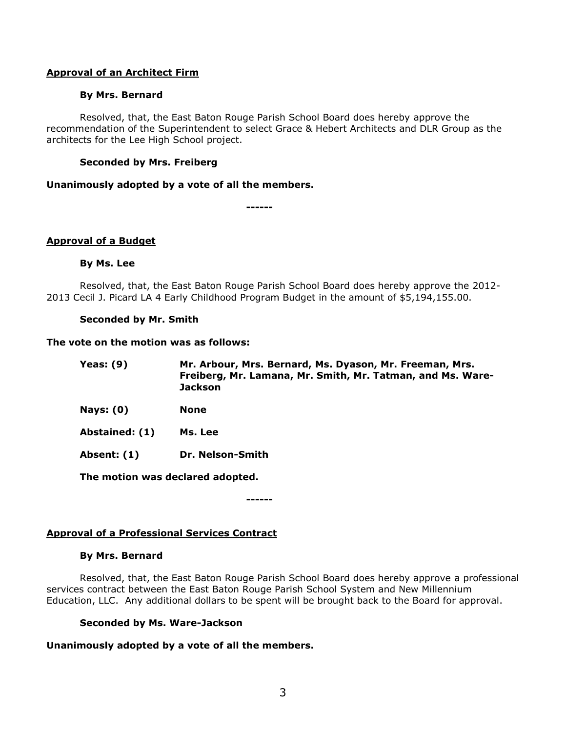## **Approval of an Architect Firm**

## **By Mrs. Bernard**

Resolved, that, the East Baton Rouge Parish School Board does hereby approve the recommendation of the Superintendent to select Grace & Hebert Architects and DLR Group as the architects for the Lee High School project.

## **Seconded by Mrs. Freiberg**

### **Unanimously adopted by a vote of all the members.**

**------**

## **Approval of a Budget**

## **By Ms. Lee**

Resolved, that, the East Baton Rouge Parish School Board does hereby approve the 2012- 2013 Cecil J. Picard LA 4 Early Childhood Program Budget in the amount of \$5,194,155.00.

## **Seconded by Mr. Smith**

### **The vote on the motion was as follows:**

| Yeas: $(9)$    | Mr. Arbour, Mrs. Bernard, Ms. Dyason, Mr. Freeman, Mrs.<br>Freiberg, Mr. Lamana, Mr. Smith, Mr. Tatman, and Ms. Ware-<br><b>Jackson</b> |
|----------------|-----------------------------------------------------------------------------------------------------------------------------------------|
| Nays: $(0)$    | <b>None</b>                                                                                                                             |
| Abstained: (1) | Ms. Lee                                                                                                                                 |
| Absent: (1)    | Dr. Nelson-Smith                                                                                                                        |

**The motion was declared adopted.**

**------**

## **Approval of a Professional Services Contract**

### **By Mrs. Bernard**

Resolved, that, the East Baton Rouge Parish School Board does hereby approve a professional services contract between the East Baton Rouge Parish School System and New Millennium Education, LLC. Any additional dollars to be spent will be brought back to the Board for approval.

## **Seconded by Ms. Ware-Jackson**

## **Unanimously adopted by a vote of all the members.**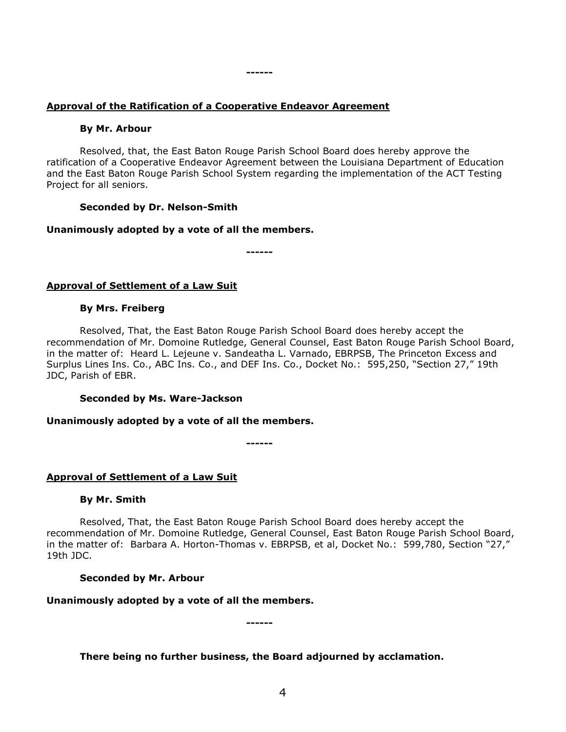# **Approval of the Ratification of a Cooperative Endeavor Agreement**

## **By Mr. Arbour**

Resolved, that, the East Baton Rouge Parish School Board does hereby approve the ratification of a Cooperative Endeavor Agreement between the Louisiana Department of Education and the East Baton Rouge Parish School System regarding the implementation of the ACT Testing Project for all seniors.

## **Seconded by Dr. Nelson-Smith**

## **Unanimously adopted by a vote of all the members.**

**------**

**------**

## **Approval of Settlement of a Law Suit**

## **By Mrs. Freiberg**

Resolved, That, the East Baton Rouge Parish School Board does hereby accept the recommendation of Mr. Domoine Rutledge, General Counsel, East Baton Rouge Parish School Board, in the matter of: Heard L. Lejeune v. Sandeatha L. Varnado, EBRPSB, The Princeton Excess and Surplus Lines Ins. Co., ABC Ins. Co., and DEF Ins. Co., Docket No.: 595,250, "Section 27," 19th JDC, Parish of EBR.

## **Seconded by Ms. Ware-Jackson**

## **Unanimously adopted by a vote of all the members.**

**------**

## **Approval of Settlement of a Law Suit**

### **By Mr. Smith**

Resolved, That, the East Baton Rouge Parish School Board does hereby accept the recommendation of Mr. Domoine Rutledge, General Counsel, East Baton Rouge Parish School Board, in the matter of: Barbara A. Horton-Thomas v. EBRPSB, et al, Docket No.: 599,780, Section "27," 19th JDC.

## **Seconded by Mr. Arbour**

## **Unanimously adopted by a vote of all the members.**

**------**

## **There being no further business, the Board adjourned by acclamation.**